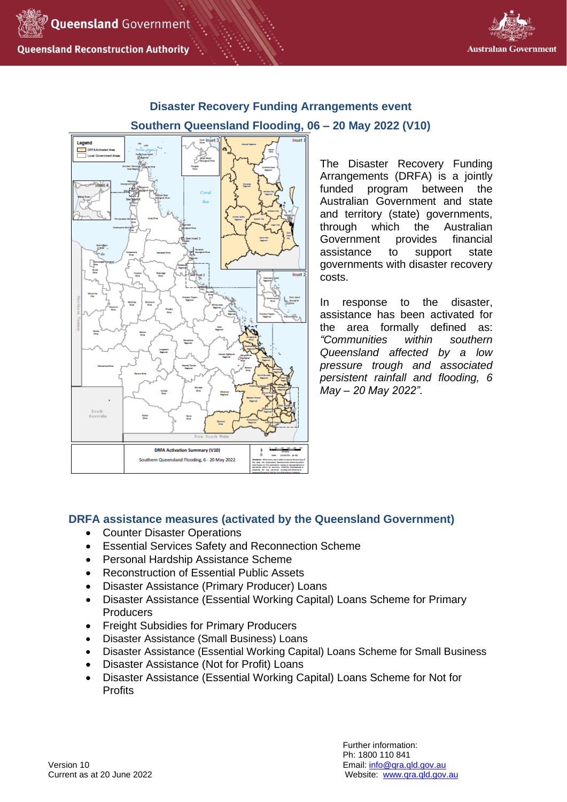



# **Disaster Recovery Funding Arrangements event Southern Queensland Flooding, 06 – 20 May 2022 (V10)**



The Disaster Recovery Funding Arrangements (DRFA) is a jointly funded program between the Australian Government and state and territory (state) governments, through which the Australian Government provides financial assistance to support state governments with disaster recovery costs.

In response to the disaster, assistance has been activated for the area formally defined as: *"Communities within southern Queensland affected by a low pressure trough and associated persistent rainfall and flooding, 6 May – 20 May 2022".* 

# **DRFA assistance measures (activated by the Queensland Government)**

- Counter Disaster Operations
- Essential Services Safety and Reconnection Scheme
- Personal Hardship Assistance Scheme
- Reconstruction of Essential Public Assets
- Disaster Assistance (Primary Producer) Loans
- Disaster Assistance (Essential Working Capital) Loans Scheme for Primary **Producers**
- Freight Subsidies for Primary Producers
- Disaster Assistance (Small Business) Loans
- Disaster Assistance (Essential Working Capital) Loans Scheme for Small Business
- Disaster Assistance (Not for Profit) Loans
- Disaster Assistance (Essential Working Capital) Loans Scheme for Not for **Profits**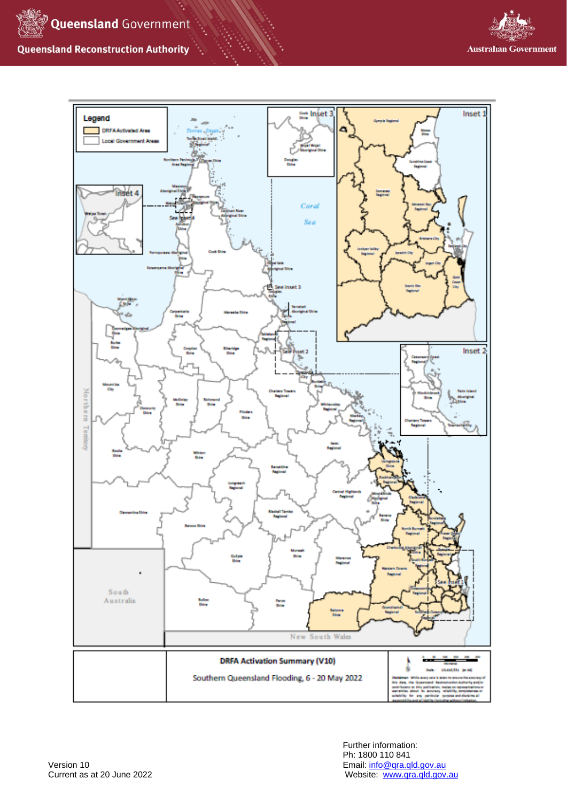

# **Queensland Reconstruction Authority**



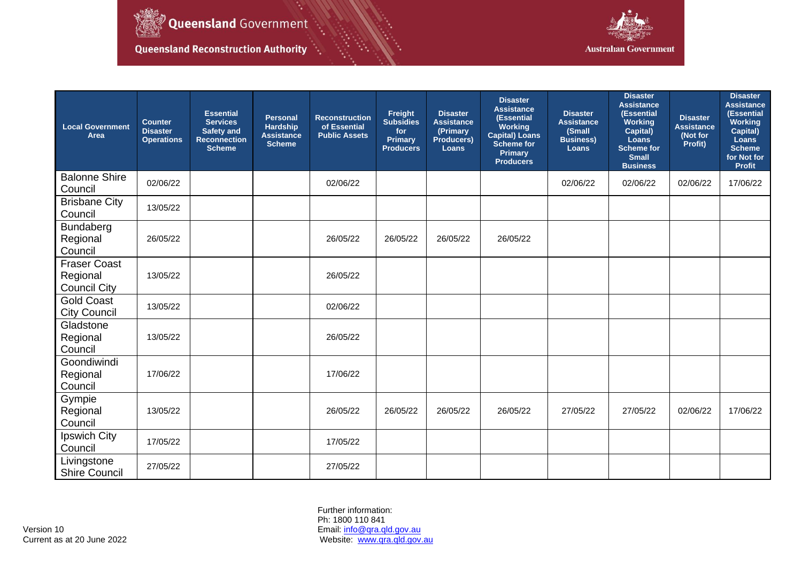

Queensland Government

Queensland Reconstruction Authority



| <b>Local Government</b><br>Area                        | <b>Counter</b><br><b>Disaster</b><br><b>Operations</b> | <b>Essential</b><br><b>Services</b><br><b>Safety and</b><br><b>Reconnection</b><br><b>Scheme</b> | <b>Personal</b><br><b>Hardship</b><br><b>Assistance</b><br><b>Scheme</b> | <b>Reconstruction</b><br>of Essential<br><b>Public Assets</b> | Freight<br><b>Subsidies</b><br>for<br>Primary<br><b>Producers</b> | <b>Disaster</b><br><b>Assistance</b><br>(Primary<br>Producers)<br><b>Loans</b> | <b>Disaster</b><br><b>Assistance</b><br>(Essential<br>Working<br><b>Capital) Loans</b><br><b>Scheme for</b><br><b>Primary</b><br><b>Producers</b> | <b>Disaster</b><br><b>Assistance</b><br>(Small<br><b>Business)</b><br>Loans | <b>Disaster</b><br><b>Assistance</b><br>(Essential<br><b>Working</b><br>Capital)<br>Loans<br><b>Scheme for</b><br><b>Small</b><br><b>Business</b> | <b>Disaster</b><br><b>Assistance</b><br>(Not for<br>Profit) | <b>Disaster</b><br><b>Assistance</b><br>(Essential<br><b>Working</b><br>Capital)<br>Loans<br><b>Scheme</b><br>for Not for<br><b>Profit</b> |
|--------------------------------------------------------|--------------------------------------------------------|--------------------------------------------------------------------------------------------------|--------------------------------------------------------------------------|---------------------------------------------------------------|-------------------------------------------------------------------|--------------------------------------------------------------------------------|---------------------------------------------------------------------------------------------------------------------------------------------------|-----------------------------------------------------------------------------|---------------------------------------------------------------------------------------------------------------------------------------------------|-------------------------------------------------------------|--------------------------------------------------------------------------------------------------------------------------------------------|
| <b>Balonne Shire</b><br>Council                        | 02/06/22                                               |                                                                                                  |                                                                          | 02/06/22                                                      |                                                                   |                                                                                |                                                                                                                                                   | 02/06/22                                                                    | 02/06/22                                                                                                                                          | 02/06/22                                                    | 17/06/22                                                                                                                                   |
| <b>Brisbane City</b><br>Council                        | 13/05/22                                               |                                                                                                  |                                                                          |                                                               |                                                                   |                                                                                |                                                                                                                                                   |                                                                             |                                                                                                                                                   |                                                             |                                                                                                                                            |
| Bundaberg<br>Regional<br>Council                       | 26/05/22                                               |                                                                                                  |                                                                          | 26/05/22                                                      | 26/05/22                                                          | 26/05/22                                                                       | 26/05/22                                                                                                                                          |                                                                             |                                                                                                                                                   |                                                             |                                                                                                                                            |
| <b>Fraser Coast</b><br>Regional<br><b>Council City</b> | 13/05/22                                               |                                                                                                  |                                                                          | 26/05/22                                                      |                                                                   |                                                                                |                                                                                                                                                   |                                                                             |                                                                                                                                                   |                                                             |                                                                                                                                            |
| <b>Gold Coast</b><br><b>City Council</b>               | 13/05/22                                               |                                                                                                  |                                                                          | 02/06/22                                                      |                                                                   |                                                                                |                                                                                                                                                   |                                                                             |                                                                                                                                                   |                                                             |                                                                                                                                            |
| Gladstone<br>Regional<br>Council                       | 13/05/22                                               |                                                                                                  |                                                                          | 26/05/22                                                      |                                                                   |                                                                                |                                                                                                                                                   |                                                                             |                                                                                                                                                   |                                                             |                                                                                                                                            |
| Goondiwindi<br>Regional<br>Council                     | 17/06/22                                               |                                                                                                  |                                                                          | 17/06/22                                                      |                                                                   |                                                                                |                                                                                                                                                   |                                                                             |                                                                                                                                                   |                                                             |                                                                                                                                            |
| Gympie<br>Regional<br>Council                          | 13/05/22                                               |                                                                                                  |                                                                          | 26/05/22                                                      | 26/05/22                                                          | 26/05/22                                                                       | 26/05/22                                                                                                                                          | 27/05/22                                                                    | 27/05/22                                                                                                                                          | 02/06/22                                                    | 17/06/22                                                                                                                                   |
| Ipswich City<br>Council                                | 17/05/22                                               |                                                                                                  |                                                                          | 17/05/22                                                      |                                                                   |                                                                                |                                                                                                                                                   |                                                                             |                                                                                                                                                   |                                                             |                                                                                                                                            |
| Livingstone<br><b>Shire Council</b>                    | 27/05/22                                               |                                                                                                  |                                                                          | 27/05/22                                                      |                                                                   |                                                                                |                                                                                                                                                   |                                                                             |                                                                                                                                                   |                                                             |                                                                                                                                            |

Further information: Ph: 1800 110 841 Current as at 20 June 2022 **Website:** Website: [www.qra.qld.gov.au](http://www.qra.qld.gov.au/)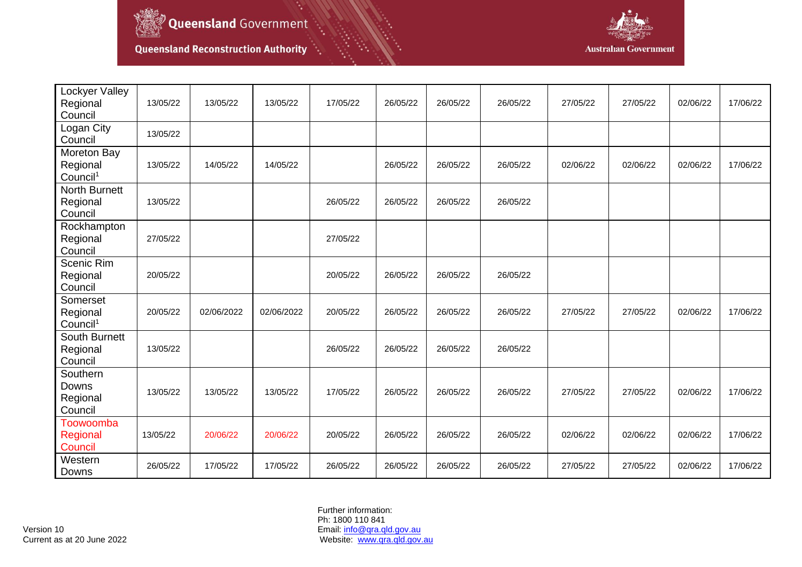

Queensland Government

Queensland Reconstruction Authority



| Lockyer Valley<br>Regional<br>Council           | 13/05/22 | 13/05/22   | 13/05/22   | 17/05/22 | 26/05/22 | 26/05/22 | 26/05/22 | 27/05/22 | 27/05/22 | 02/06/22 | 17/06/22 |
|-------------------------------------------------|----------|------------|------------|----------|----------|----------|----------|----------|----------|----------|----------|
| Logan City<br>Council                           | 13/05/22 |            |            |          |          |          |          |          |          |          |          |
| Moreton Bay<br>Regional<br>Council <sup>1</sup> | 13/05/22 | 14/05/22   | 14/05/22   |          | 26/05/22 | 26/05/22 | 26/05/22 | 02/06/22 | 02/06/22 | 02/06/22 | 17/06/22 |
| <b>North Burnett</b><br>Regional<br>Council     | 13/05/22 |            |            | 26/05/22 | 26/05/22 | 26/05/22 | 26/05/22 |          |          |          |          |
| Rockhampton<br>Regional<br>Council              | 27/05/22 |            |            | 27/05/22 |          |          |          |          |          |          |          |
| Scenic Rim<br>Regional<br>Council               | 20/05/22 |            |            | 20/05/22 | 26/05/22 | 26/05/22 | 26/05/22 |          |          |          |          |
| Somerset<br>Regional<br>Council <sup>1</sup>    | 20/05/22 | 02/06/2022 | 02/06/2022 | 20/05/22 | 26/05/22 | 26/05/22 | 26/05/22 | 27/05/22 | 27/05/22 | 02/06/22 | 17/06/22 |
| South Burnett<br>Regional<br>Council            | 13/05/22 |            |            | 26/05/22 | 26/05/22 | 26/05/22 | 26/05/22 |          |          |          |          |
| Southern<br>Downs<br>Regional<br>Council        | 13/05/22 | 13/05/22   | 13/05/22   | 17/05/22 | 26/05/22 | 26/05/22 | 26/05/22 | 27/05/22 | 27/05/22 | 02/06/22 | 17/06/22 |
| Toowoomba<br>Regional<br>Council                | 13/05/22 | 20/06/22   | 20/06/22   | 20/05/22 | 26/05/22 | 26/05/22 | 26/05/22 | 02/06/22 | 02/06/22 | 02/06/22 | 17/06/22 |
| Western<br>Downs                                | 26/05/22 | 17/05/22   | 17/05/22   | 26/05/22 | 26/05/22 | 26/05/22 | 26/05/22 | 27/05/22 | 27/05/22 | 02/06/22 | 17/06/22 |

Further information: Ph: 1800 110 841 Current as at 20 June 2022 **Website:** Website: [www.qra.qld.gov.au](http://www.qra.qld.gov.au/)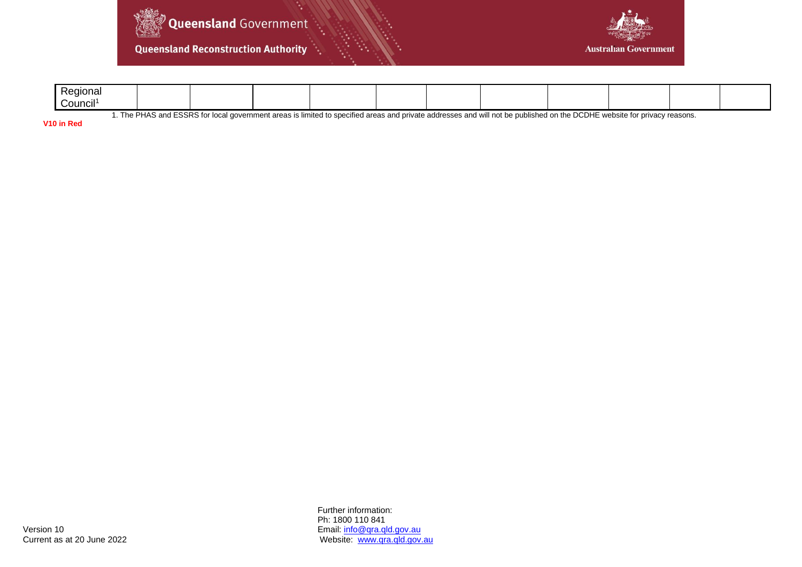

**Queensland Reconstruction Authority** 



| Regional                                                                                                                                                                                                  |  |  |  |  |  |  |  |  |  |  |  |
|-----------------------------------------------------------------------------------------------------------------------------------------------------------------------------------------------------------|--|--|--|--|--|--|--|--|--|--|--|
| .<br>Council'                                                                                                                                                                                             |  |  |  |  |  |  |  |  |  |  |  |
| I ESSRS for local government areas is I<br><u>d</u> private addresses and will not be published on the DCDHE w<br>The PHAS<br>and<br>; limited to specified areas and r<br>E website for privacy reasons. |  |  |  |  |  |  |  |  |  |  |  |

**V10 in Red**

Further information: Ph: 1800 110 841 Version 10<br>
Current as at 20 June 2022<br>
Current as at 20 June 2022<br>
Current as at 20 June 2022 Website: [www.qra.qld.gov.au](http://www.qra.qld.gov.au/)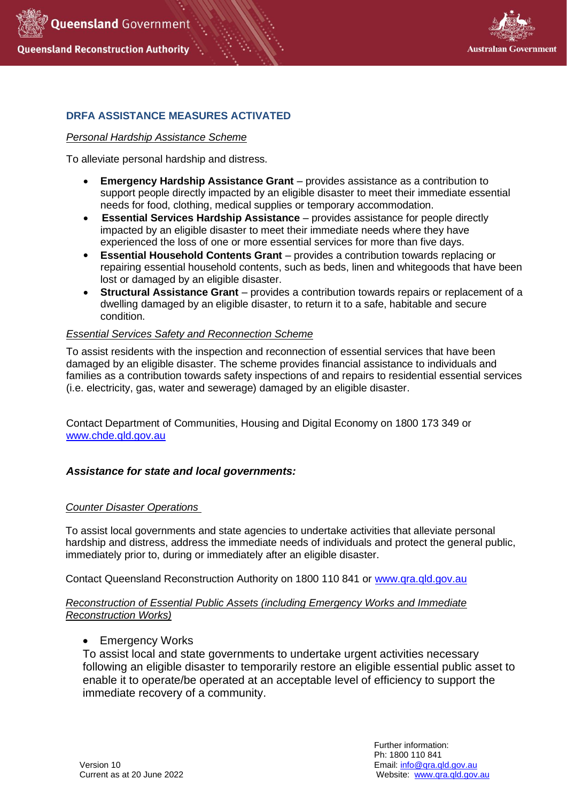



## **DRFA ASSISTANCE MEASURES ACTIVATED**

### *Personal Hardship Assistance Scheme*

To alleviate personal hardship and distress.

- **Emergency Hardship Assistance Grant** provides assistance as a contribution to support people directly impacted by an eligible disaster to meet their immediate essential needs for food, clothing, medical supplies or temporary accommodation.
- **Essential Services Hardship Assistance** provides assistance for people directly impacted by an eligible disaster to meet their immediate needs where they have experienced the loss of one or more essential services for more than five days.
- **Essential Household Contents Grant** provides a contribution towards replacing or repairing essential household contents, such as beds, linen and whitegoods that have been lost or damaged by an eligible disaster.
- **Structural Assistance Grant** provides a contribution towards repairs or replacement of a dwelling damaged by an eligible disaster, to return it to a safe, habitable and secure condition.

## *Essential Services Safety and Reconnection Scheme*

To assist residents with the inspection and reconnection of essential services that have been damaged by an eligible disaster. The scheme provides financial assistance to individuals and families as a contribution towards safety inspections of and repairs to residential essential services (i.e. electricity, gas, water and sewerage) damaged by an eligible disaster.

Contact Department of Communities, Housing and Digital Economy on 1800 173 349 or [www.chde.qld.gov.au](http://www.chde.qld.gov.au/)

#### *Assistance for state and local governments:*

#### *Counter Disaster Operations*

To assist local governments and state agencies to undertake activities that alleviate personal hardship and distress, address the immediate needs of individuals and protect the general public, immediately prior to, during or immediately after an eligible disaster.

Contact Queensland Reconstruction Authority on 1800 110 841 or [www.qra.qld.gov.au](http://www.qra.qld.gov.au/)

### *Reconstruction of Essential Public Assets (including Emergency Works and Immediate Reconstruction Works)*

**Emergency Works** 

To assist local and state governments to undertake urgent activities necessary following an eligible disaster to temporarily restore an eligible essential public asset to enable it to operate/be operated at an acceptable level of efficiency to support the immediate recovery of a community.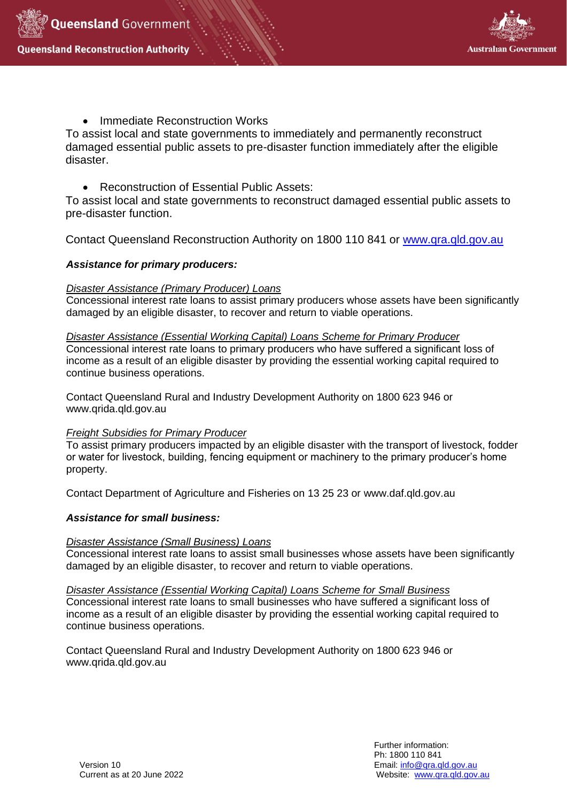



• Immediate Reconstruction Works

To assist local and state governments to immediately and permanently reconstruct damaged essential public assets to pre-disaster function immediately after the eligible disaster.

• Reconstruction of Essential Public Assets:

To assist local and state governments to reconstruct damaged essential public assets to pre-disaster function.

Contact Queensland Reconstruction Authority on 1800 110 841 or [www.qra.qld.gov.au](http://www.qra.qld.gov.au/)

## *Assistance for primary producers:*

## *Disaster Assistance (Primary Producer) Loans*

Concessional interest rate loans to assist primary producers whose assets have been significantly damaged by an eligible disaster, to recover and return to viable operations.

*Disaster Assistance (Essential Working Capital) Loans Scheme for Primary Producer* Concessional interest rate loans to primary producers who have suffered a significant loss of income as a result of an eligible disaster by providing the essential working capital required to continue business operations.

Contact Queensland Rural and Industry Development Authority on 1800 623 946 or www.qrida.qld.gov.au

## *Freight Subsidies for Primary Producer*

To assist primary producers impacted by an eligible disaster with the transport of livestock, fodder or water for livestock, building, fencing equipment or machinery to the primary producer's home property.

Contact Department of Agriculture and Fisheries on 13 25 23 or [www.daf.qld.gov.au](http://www.daf.qld.gov.au/)

## *Assistance for small business:*

#### *Disaster Assistance (Small Business) Loans*

Concessional interest rate loans to assist small businesses whose assets have been significantly damaged by an eligible disaster, to recover and return to viable operations.

*Disaster Assistance (Essential Working Capital) Loans Scheme for Small Business* Concessional interest rate loans to small businesses who have suffered a significant loss of income as a result of an eligible disaster by providing the essential working capital required to continue business operations.

Contact Queensland Rural and Industry Development Authority on 1800 623 946 or www.qrida.qld.gov.au